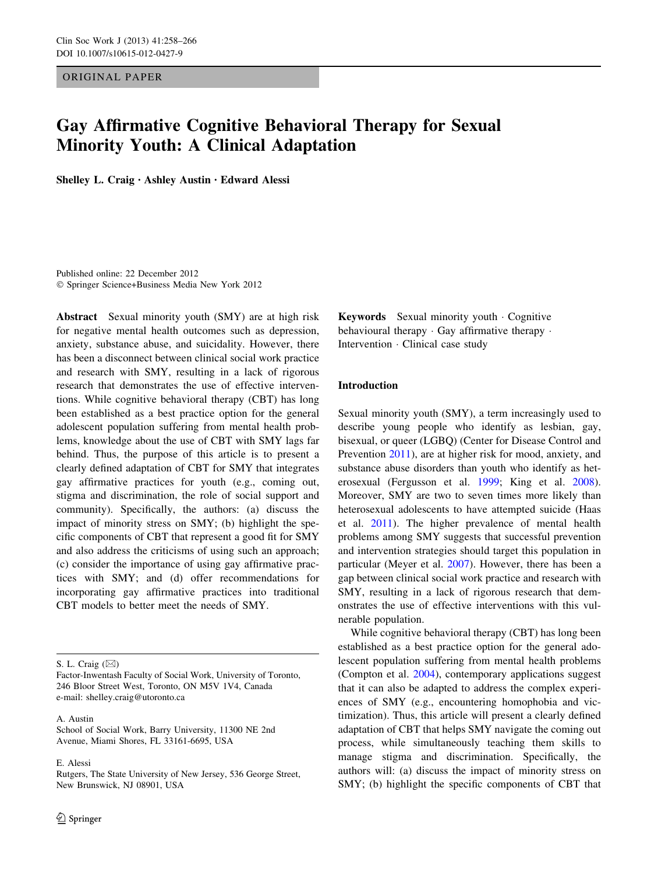ORIGINAL PAPER

# Gay Affirmative Cognitive Behavioral Therapy for Sexual Minority Youth: A Clinical Adaptation

Shelley L. Craig • Ashley Austin • Edward Alessi

Published online: 22 December 2012 - Springer Science+Business Media New York 2012

Abstract Sexual minority youth (SMY) are at high risk for negative mental health outcomes such as depression, anxiety, substance abuse, and suicidality. However, there has been a disconnect between clinical social work practice and research with SMY, resulting in a lack of rigorous research that demonstrates the use of effective interventions. While cognitive behavioral therapy (CBT) has long been established as a best practice option for the general adolescent population suffering from mental health problems, knowledge about the use of CBT with SMY lags far behind. Thus, the purpose of this article is to present a clearly defined adaptation of CBT for SMY that integrates gay affirmative practices for youth (e.g., coming out, stigma and discrimination, the role of social support and community). Specifically, the authors: (a) discuss the impact of minority stress on SMY; (b) highlight the specific components of CBT that represent a good fit for SMY and also address the criticisms of using such an approach; (c) consider the importance of using gay affirmative practices with SMY; and (d) offer recommendations for incorporating gay affirmative practices into traditional CBT models to better meet the needs of SMY.

E. Alessi

Keywords Sexual minority youth - Cognitive behavioural therapy  $\cdot$  Gay affirmative therapy  $\cdot$ Intervention - Clinical case study

# Introduction

Sexual minority youth (SMY), a term increasingly used to describe young people who identify as lesbian, gay, bisexual, or queer (LGBQ) (Center for Disease Control and Prevention [2011](#page-7-0)), are at higher risk for mood, anxiety, and substance abuse disorders than youth who identify as heterosexual (Fergusson et al. [1999](#page-7-0); King et al. [2008](#page-8-0)). Moreover, SMY are two to seven times more likely than heterosexual adolescents to have attempted suicide (Haas et al. [2011\)](#page-7-0). The higher prevalence of mental health problems among SMY suggests that successful prevention and intervention strategies should target this population in particular (Meyer et al. [2007](#page-8-0)). However, there has been a gap between clinical social work practice and research with SMY, resulting in a lack of rigorous research that demonstrates the use of effective interventions with this vulnerable population.

While cognitive behavioral therapy (CBT) has long been established as a best practice option for the general adolescent population suffering from mental health problems (Compton et al. [2004](#page-7-0)), contemporary applications suggest that it can also be adapted to address the complex experiences of SMY (e.g., encountering homophobia and victimization). Thus, this article will present a clearly defined adaptation of CBT that helps SMY navigate the coming out process, while simultaneously teaching them skills to manage stigma and discrimination. Specifically, the authors will: (a) discuss the impact of minority stress on SMY; (b) highlight the specific components of CBT that

S. L. Craig  $(\boxtimes)$ 

Factor-Inwentash Faculty of Social Work, University of Toronto, 246 Bloor Street West, Toronto, ON M5V 1V4, Canada e-mail: shelley.craig@utoronto.ca

A. Austin

School of Social Work, Barry University, 11300 NE 2nd Avenue, Miami Shores, FL 33161-6695, USA

Rutgers, The State University of New Jersey, 536 George Street, New Brunswick, NJ 08901, USA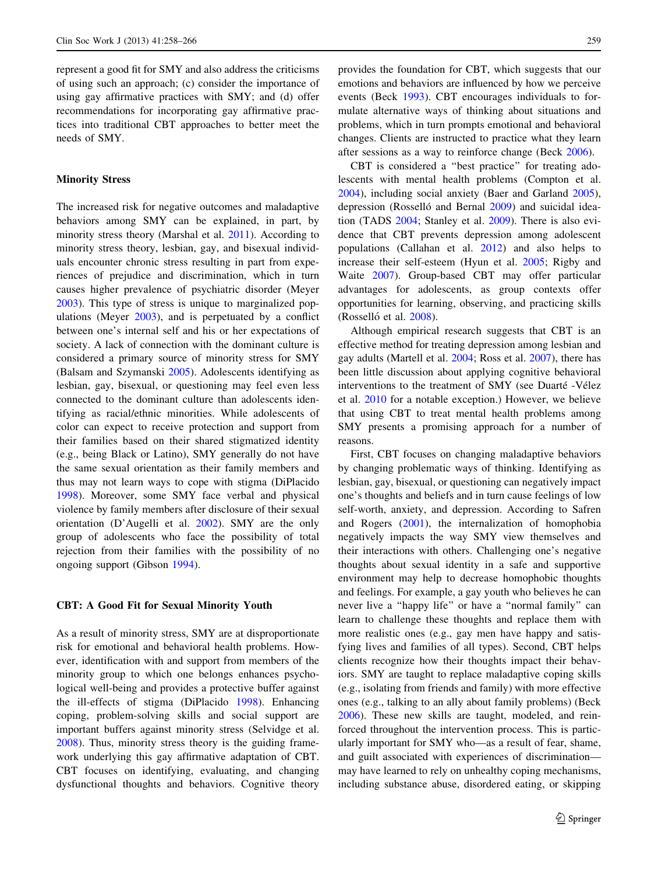represent a good fit for SMY and also address the criticisms of using such an approach; (c) consider the importance of using gay affirmative practices with SMY; and (d) offer recommendations for incorporating gay affirmative practices into traditional CBT approaches to better meet the needs of SMY.

# Minority Stress

The increased risk for negative outcomes and maladaptive behaviors among SMY can be explained, in part, by minority stress theory (Marshal et al. [2011\)](#page-8-0). According to minority stress theory, lesbian, gay, and bisexual individuals encounter chronic stress resulting in part from experiences of prejudice and discrimination, which in turn causes higher prevalence of psychiatric disorder (Meyer [2003\)](#page-8-0). This type of stress is unique to marginalized populations (Meyer [2003\)](#page-8-0), and is perpetuated by a conflict between one's internal self and his or her expectations of society. A lack of connection with the dominant culture is considered a primary source of minority stress for SMY (Balsam and Szymanski [2005](#page-7-0)). Adolescents identifying as lesbian, gay, bisexual, or questioning may feel even less connected to the dominant culture than adolescents identifying as racial/ethnic minorities. While adolescents of color can expect to receive protection and support from their families based on their shared stigmatized identity (e.g., being Black or Latino), SMY generally do not have the same sexual orientation as their family members and thus may not learn ways to cope with stigma (DiPlacido [1998\)](#page-7-0). Moreover, some SMY face verbal and physical violence by family members after disclosure of their sexual orientation (D'Augelli et al. [2002](#page-7-0)). SMY are the only group of adolescents who face the possibility of total rejection from their families with the possibility of no ongoing support (Gibson [1994\)](#page-7-0).

### CBT: A Good Fit for Sexual Minority Youth

As a result of minority stress, SMY are at disproportionate risk for emotional and behavioral health problems. However, identification with and support from members of the minority group to which one belongs enhances psychological well-being and provides a protective buffer against the ill-effects of stigma (DiPlacido [1998\)](#page-7-0). Enhancing coping, problem-solving skills and social support are important buffers against minority stress (Selvidge et al. [2008\)](#page-8-0). Thus, minority stress theory is the guiding framework underlying this gay affirmative adaptation of CBT. CBT focuses on identifying, evaluating, and changing dysfunctional thoughts and behaviors. Cognitive theory provides the foundation for CBT, which suggests that our emotions and behaviors are influenced by how we perceive events (Beck [1993](#page-7-0)). CBT encourages individuals to formulate alternative ways of thinking about situations and problems, which in turn prompts emotional and behavioral changes. Clients are instructed to practice what they learn after sessions as a way to reinforce change (Beck [2006\)](#page-7-0).

CBT is considered a ''best practice'' for treating adolescents with mental health problems (Compton et al. [2004](#page-7-0)), including social anxiety (Baer and Garland [2005](#page-7-0)), depression (Rosselló and Bernal [2009](#page-8-0)) and suicidal ideation (TADS [2004](#page-8-0); Stanley et al. [2009](#page-8-0)). There is also evidence that CBT prevents depression among adolescent populations (Callahan et al. [2012](#page-7-0)) and also helps to increase their self-esteem (Hyun et al. [2005](#page-7-0); Rigby and Waite [2007](#page-8-0)). Group-based CBT may offer particular advantages for adolescents, as group contexts offer opportunities for learning, observing, and practicing skills (Rosselló et al. [2008\)](#page-8-0).

Although empirical research suggests that CBT is an effective method for treating depression among lesbian and gay adults (Martell et al. [2004;](#page-8-0) Ross et al. [2007](#page-8-0)), there has been little discussion about applying cognitive behavioral interventions to the treatment of SMY (see Duarté -Vélez et al. [2010](#page-7-0) for a notable exception.) However, we believe that using CBT to treat mental health problems among SMY presents a promising approach for a number of reasons.

First, CBT focuses on changing maladaptive behaviors by changing problematic ways of thinking. Identifying as lesbian, gay, bisexual, or questioning can negatively impact one's thoughts and beliefs and in turn cause feelings of low self-worth, anxiety, and depression. According to Safren and Rogers ([2001\)](#page-8-0), the internalization of homophobia negatively impacts the way SMY view themselves and their interactions with others. Challenging one's negative thoughts about sexual identity in a safe and supportive environment may help to decrease homophobic thoughts and feelings. For example, a gay youth who believes he can never live a ''happy life'' or have a ''normal family'' can learn to challenge these thoughts and replace them with more realistic ones (e.g., gay men have happy and satisfying lives and families of all types). Second, CBT helps clients recognize how their thoughts impact their behaviors. SMY are taught to replace maladaptive coping skills (e.g., isolating from friends and family) with more effective ones (e.g., talking to an ally about family problems) (Beck [2006](#page-7-0)). These new skills are taught, modeled, and reinforced throughout the intervention process. This is particularly important for SMY who—as a result of fear, shame, and guilt associated with experiences of discrimination may have learned to rely on unhealthy coping mechanisms, including substance abuse, disordered eating, or skipping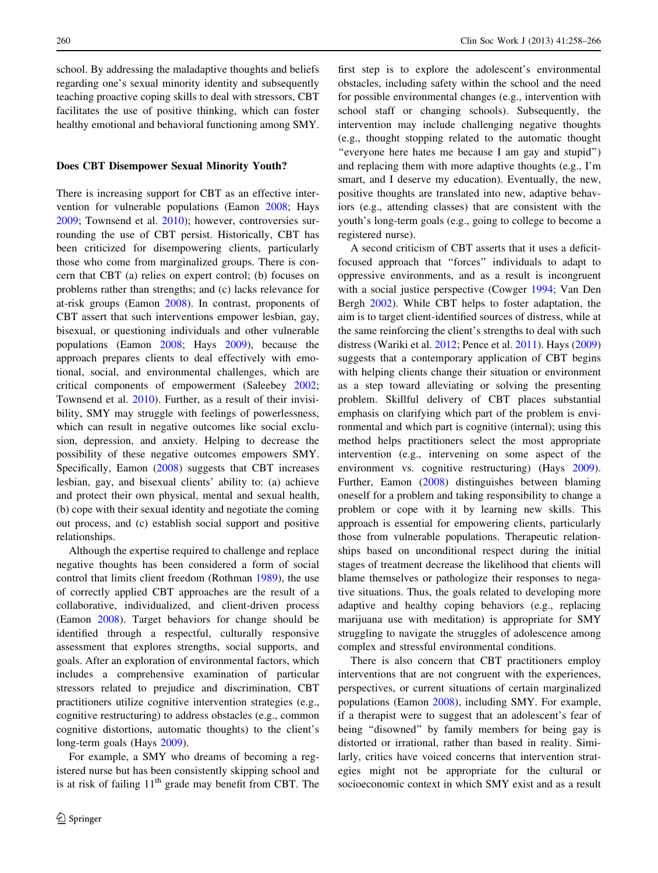school. By addressing the maladaptive thoughts and beliefs regarding one's sexual minority identity and subsequently teaching proactive coping skills to deal with stressors, CBT facilitates the use of positive thinking, which can foster healthy emotional and behavioral functioning among SMY.

### Does CBT Disempower Sexual Minority Youth?

There is increasing support for CBT as an effective intervention for vulnerable populations (Eamon [2008](#page-7-0); Hays [2009;](#page-7-0) Townsend et al. [2010\)](#page-8-0); however, controversies surrounding the use of CBT persist. Historically, CBT has been criticized for disempowering clients, particularly those who come from marginalized groups. There is concern that CBT (a) relies on expert control; (b) focuses on problems rather than strengths; and (c) lacks relevance for at-risk groups (Eamon [2008](#page-7-0)). In contrast, proponents of CBT assert that such interventions empower lesbian, gay, bisexual, or questioning individuals and other vulnerable populations (Eamon [2008;](#page-7-0) Hays [2009\)](#page-7-0), because the approach prepares clients to deal effectively with emotional, social, and environmental challenges, which are critical components of empowerment (Saleebey [2002](#page-8-0); Townsend et al. [2010\)](#page-8-0). Further, as a result of their invisibility, SMY may struggle with feelings of powerlessness, which can result in negative outcomes like social exclusion, depression, and anxiety. Helping to decrease the possibility of these negative outcomes empowers SMY. Specifically, Eamon ([2008\)](#page-7-0) suggests that CBT increases lesbian, gay, and bisexual clients' ability to: (a) achieve and protect their own physical, mental and sexual health, (b) cope with their sexual identity and negotiate the coming out process, and (c) establish social support and positive relationships.

Although the expertise required to challenge and replace negative thoughts has been considered a form of social control that limits client freedom (Rothman [1989\)](#page-8-0), the use of correctly applied CBT approaches are the result of a collaborative, individualized, and client-driven process (Eamon [2008](#page-7-0)). Target behaviors for change should be identified through a respectful, culturally responsive assessment that explores strengths, social supports, and goals. After an exploration of environmental factors, which includes a comprehensive examination of particular stressors related to prejudice and discrimination, CBT practitioners utilize cognitive intervention strategies (e.g., cognitive restructuring) to address obstacles (e.g., common cognitive distortions, automatic thoughts) to the client's long-term goals (Hays [2009](#page-7-0)).

For example, a SMY who dreams of becoming a registered nurse but has been consistently skipping school and is at risk of failing  $11<sup>th</sup>$  grade may benefit from CBT. The

first step is to explore the adolescent's environmental obstacles, including safety within the school and the need for possible environmental changes (e.g., intervention with school staff or changing schools). Subsequently, the intervention may include challenging negative thoughts (e.g., thought stopping related to the automatic thought "everyone here hates me because I am gay and stupid") and replacing them with more adaptive thoughts (e.g., I'm smart, and I deserve my education). Eventually, the new, positive thoughts are translated into new, adaptive behaviors (e.g., attending classes) that are consistent with the youth's long-term goals (e.g., going to college to become a registered nurse).

A second criticism of CBT asserts that it uses a deficitfocused approach that ''forces'' individuals to adapt to oppressive environments, and as a result is incongruent with a social justice perspective (Cowger [1994;](#page-7-0) Van Den Bergh [2002](#page-8-0)). While CBT helps to foster adaptation, the aim is to target client-identified sources of distress, while at the same reinforcing the client's strengths to deal with such distress (Wariki et al. [2012;](#page-8-0) Pence et al. [2011\)](#page-8-0). Hays ([2009\)](#page-7-0) suggests that a contemporary application of CBT begins with helping clients change their situation or environment as a step toward alleviating or solving the presenting problem. Skillful delivery of CBT places substantial emphasis on clarifying which part of the problem is environmental and which part is cognitive (internal); using this method helps practitioners select the most appropriate intervention (e.g., intervening on some aspect of the environment vs. cognitive restructuring) (Hays [2009](#page-7-0)). Further, Eamon ([2008\)](#page-7-0) distinguishes between blaming oneself for a problem and taking responsibility to change a problem or cope with it by learning new skills. This approach is essential for empowering clients, particularly those from vulnerable populations. Therapeutic relationships based on unconditional respect during the initial stages of treatment decrease the likelihood that clients will blame themselves or pathologize their responses to negative situations. Thus, the goals related to developing more adaptive and healthy coping behaviors (e.g., replacing marijuana use with meditation) is appropriate for SMY struggling to navigate the struggles of adolescence among complex and stressful environmental conditions.

There is also concern that CBT practitioners employ interventions that are not congruent with the experiences, perspectives, or current situations of certain marginalized populations (Eamon [2008\)](#page-7-0), including SMY. For example, if a therapist were to suggest that an adolescent's fear of being ''disowned'' by family members for being gay is distorted or irrational, rather than based in reality. Similarly, critics have voiced concerns that intervention strategies might not be appropriate for the cultural or socioeconomic context in which SMY exist and as a result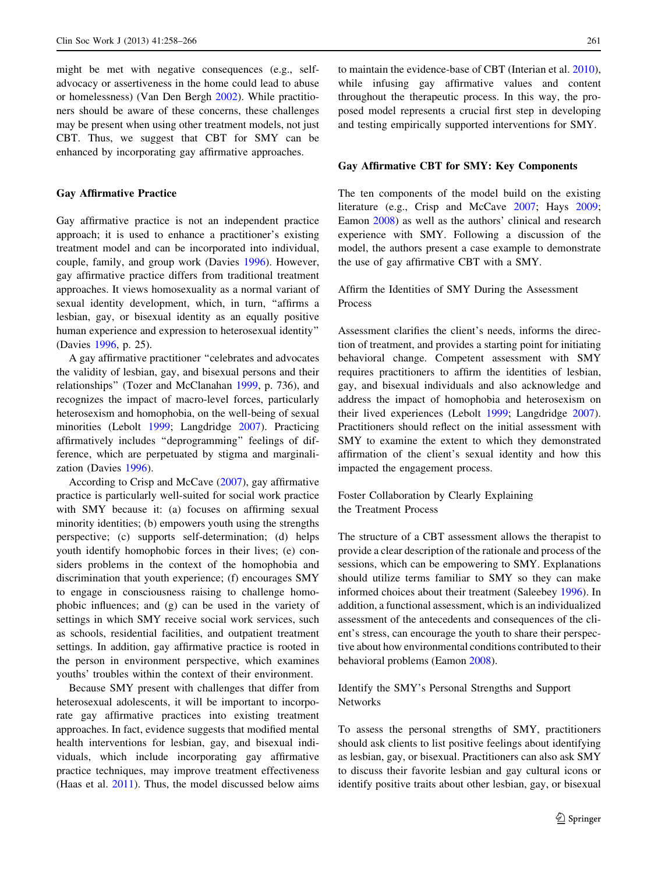might be met with negative consequences (e.g., selfadvocacy or assertiveness in the home could lead to abuse or homelessness) (Van Den Bergh [2002](#page-8-0)). While practitioners should be aware of these concerns, these challenges may be present when using other treatment models, not just CBT. Thus, we suggest that CBT for SMY can be enhanced by incorporating gay affirmative approaches.

### Gay Affirmative Practice

Gay affirmative practice is not an independent practice approach; it is used to enhance a practitioner's existing treatment model and can be incorporated into individual, couple, family, and group work (Davies [1996](#page-7-0)). However, gay affirmative practice differs from traditional treatment approaches. It views homosexuality as a normal variant of sexual identity development, which, in turn, "affirms a lesbian, gay, or bisexual identity as an equally positive human experience and expression to heterosexual identity'' (Davies [1996](#page-7-0), p. 25).

A gay affirmative practitioner ''celebrates and advocates the validity of lesbian, gay, and bisexual persons and their relationships'' (Tozer and McClanahan [1999,](#page-8-0) p. 736), and recognizes the impact of macro-level forces, particularly heterosexism and homophobia, on the well-being of sexual minorities (Lebolt [1999](#page-8-0); Langdridge [2007](#page-8-0)). Practicing affirmatively includes ''deprogramming'' feelings of difference, which are perpetuated by stigma and marginalization (Davies [1996](#page-7-0)).

According to Crisp and McCave [\(2007](#page-7-0)), gay affirmative practice is particularly well-suited for social work practice with SMY because it: (a) focuses on affirming sexual minority identities; (b) empowers youth using the strengths perspective; (c) supports self-determination; (d) helps youth identify homophobic forces in their lives; (e) considers problems in the context of the homophobia and discrimination that youth experience; (f) encourages SMY to engage in consciousness raising to challenge homophobic influences; and (g) can be used in the variety of settings in which SMY receive social work services, such as schools, residential facilities, and outpatient treatment settings. In addition, gay affirmative practice is rooted in the person in environment perspective, which examines youths' troubles within the context of their environment.

Because SMY present with challenges that differ from heterosexual adolescents, it will be important to incorporate gay affirmative practices into existing treatment approaches. In fact, evidence suggests that modified mental health interventions for lesbian, gay, and bisexual individuals, which include incorporating gay affirmative practice techniques, may improve treatment effectiveness (Haas et al. [2011](#page-7-0)). Thus, the model discussed below aims to maintain the evidence-base of CBT (Interian et al. [2010](#page-7-0)), while infusing gay affirmative values and content throughout the therapeutic process. In this way, the proposed model represents a crucial first step in developing and testing empirically supported interventions for SMY.

### Gay Affirmative CBT for SMY: Key Components

The ten components of the model build on the existing literature (e.g., Crisp and McCave [2007](#page-7-0); Hays [2009](#page-7-0); Eamon [2008\)](#page-7-0) as well as the authors' clinical and research experience with SMY. Following a discussion of the model, the authors present a case example to demonstrate the use of gay affirmative CBT with a SMY.

# Affirm the Identities of SMY During the Assessment Process

Assessment clarifies the client's needs, informs the direction of treatment, and provides a starting point for initiating behavioral change. Competent assessment with SMY requires practitioners to affirm the identities of lesbian, gay, and bisexual individuals and also acknowledge and address the impact of homophobia and heterosexism on their lived experiences (Lebolt [1999](#page-8-0); Langdridge [2007](#page-8-0)). Practitioners should reflect on the initial assessment with SMY to examine the extent to which they demonstrated affirmation of the client's sexual identity and how this impacted the engagement process.

Foster Collaboration by Clearly Explaining the Treatment Process

The structure of a CBT assessment allows the therapist to provide a clear description of the rationale and process of the sessions, which can be empowering to SMY. Explanations should utilize terms familiar to SMY so they can make informed choices about their treatment (Saleebey [1996](#page-8-0)). In addition, a functional assessment, which is an individualized assessment of the antecedents and consequences of the client's stress, can encourage the youth to share their perspective about how environmental conditions contributed to their behavioral problems (Eamon [2008\)](#page-7-0).

Identify the SMY's Personal Strengths and Support Networks

To assess the personal strengths of SMY, practitioners should ask clients to list positive feelings about identifying as lesbian, gay, or bisexual. Practitioners can also ask SMY to discuss their favorite lesbian and gay cultural icons or identify positive traits about other lesbian, gay, or bisexual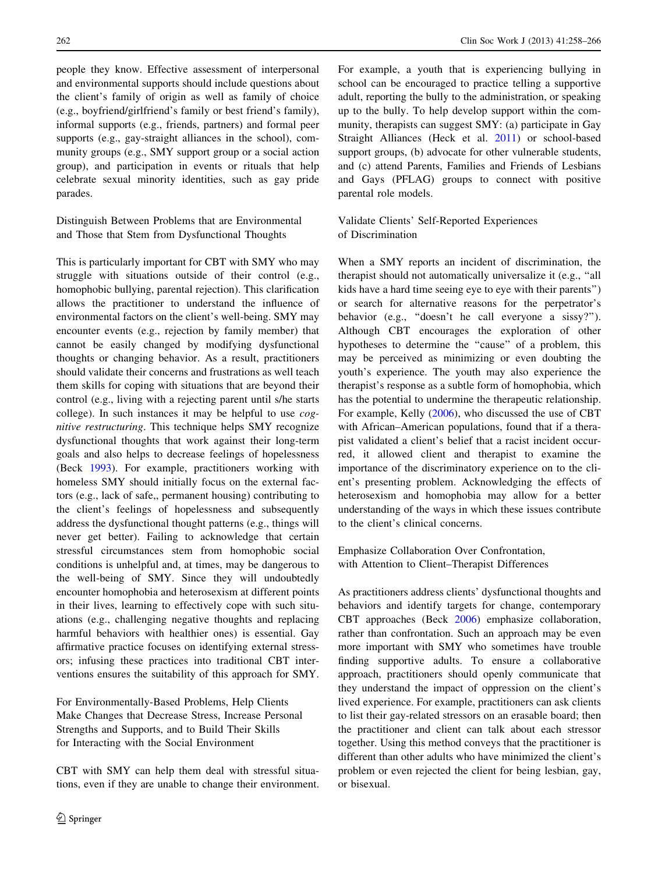people they know. Effective assessment of interpersonal and environmental supports should include questions about the client's family of origin as well as family of choice (e.g., boyfriend/girlfriend's family or best friend's family), informal supports (e.g., friends, partners) and formal peer supports (e.g., gay-straight alliances in the school), community groups (e.g., SMY support group or a social action group), and participation in events or rituals that help celebrate sexual minority identities, such as gay pride parades.

Distinguish Between Problems that are Environmental and Those that Stem from Dysfunctional Thoughts

This is particularly important for CBT with SMY who may struggle with situations outside of their control (e.g., homophobic bullying, parental rejection). This clarification allows the practitioner to understand the influence of environmental factors on the client's well-being. SMY may encounter events (e.g., rejection by family member) that cannot be easily changed by modifying dysfunctional thoughts or changing behavior. As a result, practitioners should validate their concerns and frustrations as well teach them skills for coping with situations that are beyond their control (e.g., living with a rejecting parent until s/he starts college). In such instances it may be helpful to use cognitive restructuring. This technique helps SMY recognize dysfunctional thoughts that work against their long-term goals and also helps to decrease feelings of hopelessness (Beck [1993](#page-7-0)). For example, practitioners working with homeless SMY should initially focus on the external factors (e.g., lack of safe,, permanent housing) contributing to the client's feelings of hopelessness and subsequently address the dysfunctional thought patterns (e.g., things will never get better). Failing to acknowledge that certain stressful circumstances stem from homophobic social conditions is unhelpful and, at times, may be dangerous to the well-being of SMY. Since they will undoubtedly encounter homophobia and heterosexism at different points in their lives, learning to effectively cope with such situations (e.g., challenging negative thoughts and replacing harmful behaviors with healthier ones) is essential. Gay affirmative practice focuses on identifying external stressors; infusing these practices into traditional CBT interventions ensures the suitability of this approach for SMY.

For Environmentally-Based Problems, Help Clients Make Changes that Decrease Stress, Increase Personal Strengths and Supports, and to Build Their Skills for Interacting with the Social Environment

CBT with SMY can help them deal with stressful situations, even if they are unable to change their environment. For example, a youth that is experiencing bullying in school can be encouraged to practice telling a supportive adult, reporting the bully to the administration, or speaking up to the bully. To help develop support within the community, therapists can suggest SMY: (a) participate in Gay Straight Alliances (Heck et al. [2011](#page-7-0)) or school-based support groups, (b) advocate for other vulnerable students, and (c) attend Parents, Families and Friends of Lesbians and Gays (PFLAG) groups to connect with positive parental role models.

Validate Clients' Self-Reported Experiences of Discrimination

When a SMY reports an incident of discrimination, the therapist should not automatically universalize it (e.g., ''all kids have a hard time seeing eye to eye with their parents'') or search for alternative reasons for the perpetrator's behavior (e.g., ''doesn't he call everyone a sissy?''). Although CBT encourages the exploration of other hypotheses to determine the ''cause'' of a problem, this may be perceived as minimizing or even doubting the youth's experience. The youth may also experience the therapist's response as a subtle form of homophobia, which has the potential to undermine the therapeutic relationship. For example, Kelly [\(2006](#page-8-0)), who discussed the use of CBT with African–American populations, found that if a therapist validated a client's belief that a racist incident occurred, it allowed client and therapist to examine the importance of the discriminatory experience on to the client's presenting problem. Acknowledging the effects of heterosexism and homophobia may allow for a better understanding of the ways in which these issues contribute to the client's clinical concerns.

Emphasize Collaboration Over Confrontation, with Attention to Client–Therapist Differences

As practitioners address clients' dysfunctional thoughts and behaviors and identify targets for change, contemporary CBT approaches (Beck [2006\)](#page-7-0) emphasize collaboration, rather than confrontation. Such an approach may be even more important with SMY who sometimes have trouble finding supportive adults. To ensure a collaborative approach, practitioners should openly communicate that they understand the impact of oppression on the client's lived experience. For example, practitioners can ask clients to list their gay-related stressors on an erasable board; then the practitioner and client can talk about each stressor together. Using this method conveys that the practitioner is different than other adults who have minimized the client's problem or even rejected the client for being lesbian, gay, or bisexual.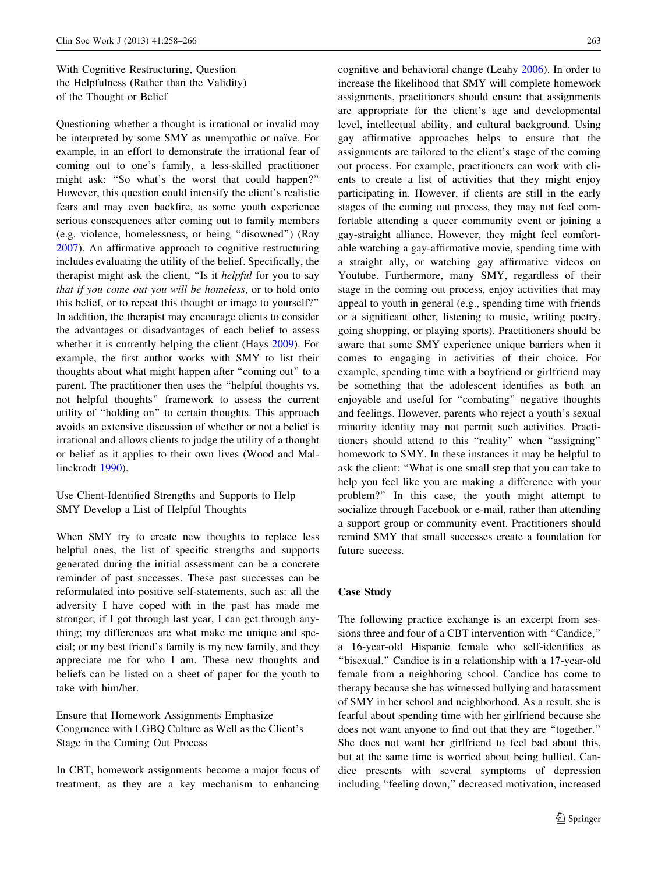With Cognitive Restructuring, Question the Helpfulness (Rather than the Validity) of the Thought or Belief

Questioning whether a thought is irrational or invalid may be interpreted by some SMY as unempathic or naïve. For example, in an effort to demonstrate the irrational fear of coming out to one's family, a less-skilled practitioner might ask: ''So what's the worst that could happen?'' However, this question could intensify the client's realistic fears and may even backfire, as some youth experience serious consequences after coming out to family members (e.g. violence, homelessness, or being ''disowned'') (Ray [2007\)](#page-8-0). An affirmative approach to cognitive restructuring includes evaluating the utility of the belief. Specifically, the therapist might ask the client, "Is it *helpful* for you to say that if you come out you will be homeless, or to hold onto this belief, or to repeat this thought or image to yourself?'' In addition, the therapist may encourage clients to consider the advantages or disadvantages of each belief to assess whether it is currently helping the client (Hays [2009](#page-7-0)). For example, the first author works with SMY to list their thoughts about what might happen after ''coming out'' to a parent. The practitioner then uses the ''helpful thoughts vs. not helpful thoughts'' framework to assess the current utility of ''holding on'' to certain thoughts. This approach avoids an extensive discussion of whether or not a belief is irrational and allows clients to judge the utility of a thought or belief as it applies to their own lives (Wood and Mallinckrodt [1990](#page-8-0)).

Use Client-Identified Strengths and Supports to Help SMY Develop a List of Helpful Thoughts

When SMY try to create new thoughts to replace less helpful ones, the list of specific strengths and supports generated during the initial assessment can be a concrete reminder of past successes. These past successes can be reformulated into positive self-statements, such as: all the adversity I have coped with in the past has made me stronger; if I got through last year, I can get through anything; my differences are what make me unique and special; or my best friend's family is my new family, and they appreciate me for who I am. These new thoughts and beliefs can be listed on a sheet of paper for the youth to take with him/her.

Ensure that Homework Assignments Emphasize Congruence with LGBQ Culture as Well as the Client's Stage in the Coming Out Process

In CBT, homework assignments become a major focus of treatment, as they are a key mechanism to enhancing cognitive and behavioral change (Leahy [2006](#page-8-0)). In order to increase the likelihood that SMY will complete homework assignments, practitioners should ensure that assignments are appropriate for the client's age and developmental level, intellectual ability, and cultural background. Using gay affirmative approaches helps to ensure that the assignments are tailored to the client's stage of the coming out process. For example, practitioners can work with clients to create a list of activities that they might enjoy participating in. However, if clients are still in the early stages of the coming out process, they may not feel comfortable attending a queer community event or joining a gay-straight alliance. However, they might feel comfortable watching a gay-affirmative movie, spending time with a straight ally, or watching gay affirmative videos on Youtube. Furthermore, many SMY, regardless of their stage in the coming out process, enjoy activities that may appeal to youth in general (e.g., spending time with friends or a significant other, listening to music, writing poetry, going shopping, or playing sports). Practitioners should be aware that some SMY experience unique barriers when it comes to engaging in activities of their choice. For example, spending time with a boyfriend or girlfriend may be something that the adolescent identifies as both an enjoyable and useful for ''combating'' negative thoughts and feelings. However, parents who reject a youth's sexual minority identity may not permit such activities. Practitioners should attend to this ''reality'' when ''assigning'' homework to SMY. In these instances it may be helpful to ask the client: ''What is one small step that you can take to help you feel like you are making a difference with your problem?'' In this case, the youth might attempt to socialize through Facebook or e-mail, rather than attending a support group or community event. Practitioners should remind SMY that small successes create a foundation for future success.

# Case Study

The following practice exchange is an excerpt from sessions three and four of a CBT intervention with ''Candice,'' a 16-year-old Hispanic female who self-identifies as "bisexual." Candice is in a relationship with a 17-year-old female from a neighboring school. Candice has come to therapy because she has witnessed bullying and harassment of SMY in her school and neighborhood. As a result, she is fearful about spending time with her girlfriend because she does not want anyone to find out that they are ''together.'' She does not want her girlfriend to feel bad about this, but at the same time is worried about being bullied. Candice presents with several symptoms of depression including "feeling down," decreased motivation, increased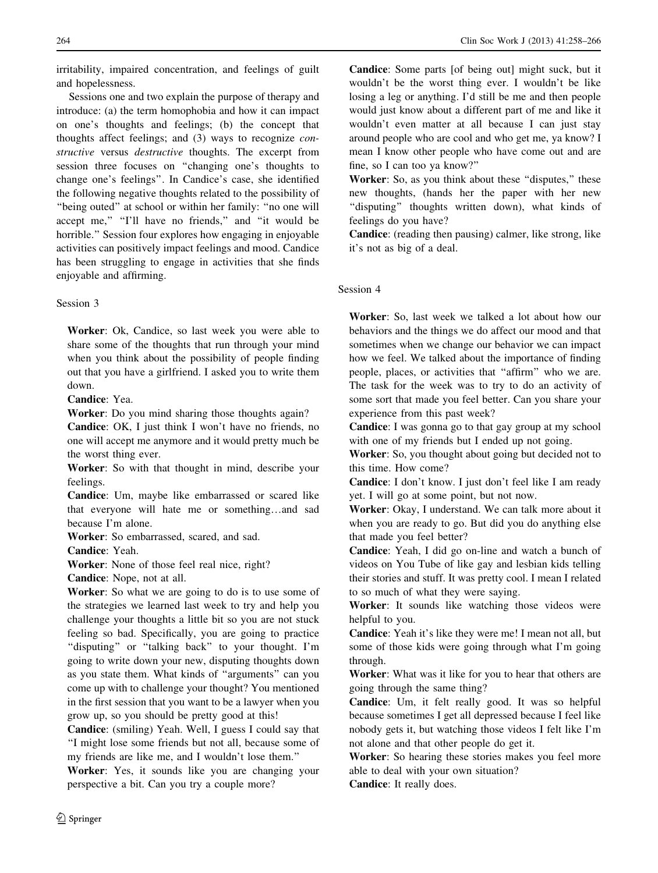irritability, impaired concentration, and feelings of guilt and hopelessness.

Sessions one and two explain the purpose of therapy and introduce: (a) the term homophobia and how it can impact on one's thoughts and feelings; (b) the concept that thoughts affect feelings; and (3) ways to recognize constructive versus destructive thoughts. The excerpt from session three focuses on ''changing one's thoughts to change one's feelings''. In Candice's case, she identified the following negative thoughts related to the possibility of ''being outed'' at school or within her family: ''no one will accept me," "I'll have no friends," and "it would be horrible.'' Session four explores how engaging in enjoyable activities can positively impact feelings and mood. Candice has been struggling to engage in activities that she finds enjoyable and affirming.

# Session 3

Worker: Ok, Candice, so last week you were able to share some of the thoughts that run through your mind when you think about the possibility of people finding out that you have a girlfriend. I asked you to write them down.

Candice: Yea.

Worker: Do you mind sharing those thoughts again?

Candice: OK, I just think I won't have no friends, no one will accept me anymore and it would pretty much be the worst thing ever.

Worker: So with that thought in mind, describe your feelings.

Candice: Um, maybe like embarrassed or scared like that everyone will hate me or something…and sad because I'm alone.

Worker: So embarrassed, scared, and sad.

Candice: Yeah.

Worker: None of those feel real nice, right?

Candice: Nope, not at all.

Worker: So what we are going to do is to use some of the strategies we learned last week to try and help you challenge your thoughts a little bit so you are not stuck feeling so bad. Specifically, you are going to practice "disputing" or "talking back" to your thought. I'm going to write down your new, disputing thoughts down as you state them. What kinds of ''arguments'' can you come up with to challenge your thought? You mentioned in the first session that you want to be a lawyer when you grow up, so you should be pretty good at this!

Candice: (smiling) Yeah. Well, I guess I could say that ''I might lose some friends but not all, because some of my friends are like me, and I wouldn't lose them.''

Worker: Yes, it sounds like you are changing your perspective a bit. Can you try a couple more?

Candice: Some parts [of being out] might suck, but it wouldn't be the worst thing ever. I wouldn't be like losing a leg or anything. I'd still be me and then people would just know about a different part of me and like it wouldn't even matter at all because I can just stay around people who are cool and who get me, ya know? I mean I know other people who have come out and are fine, so I can too ya know?''

Worker: So, as you think about these "disputes," these new thoughts, (hands her the paper with her new ''disputing'' thoughts written down), what kinds of feelings do you have?

Candice: (reading then pausing) calmer, like strong, like it's not as big of a deal.

# Session 4

Worker: So, last week we talked a lot about how our behaviors and the things we do affect our mood and that sometimes when we change our behavior we can impact how we feel. We talked about the importance of finding people, places, or activities that ''affirm'' who we are. The task for the week was to try to do an activity of some sort that made you feel better. Can you share your experience from this past week?

Candice: I was gonna go to that gay group at my school with one of my friends but I ended up not going.

Worker: So, you thought about going but decided not to this time. How come?

Candice: I don't know. I just don't feel like I am ready yet. I will go at some point, but not now.

Worker: Okay, I understand. We can talk more about it when you are ready to go. But did you do anything else that made you feel better?

Candice: Yeah, I did go on-line and watch a bunch of videos on You Tube of like gay and lesbian kids telling their stories and stuff. It was pretty cool. I mean I related to so much of what they were saying.

Worker: It sounds like watching those videos were helpful to you.

Candice: Yeah it's like they were me! I mean not all, but some of those kids were going through what I'm going through.

Worker: What was it like for you to hear that others are going through the same thing?

Candice: Um, it felt really good. It was so helpful because sometimes I get all depressed because I feel like nobody gets it, but watching those videos I felt like I'm not alone and that other people do get it.

Worker: So hearing these stories makes you feel more able to deal with your own situation?

Candice: It really does.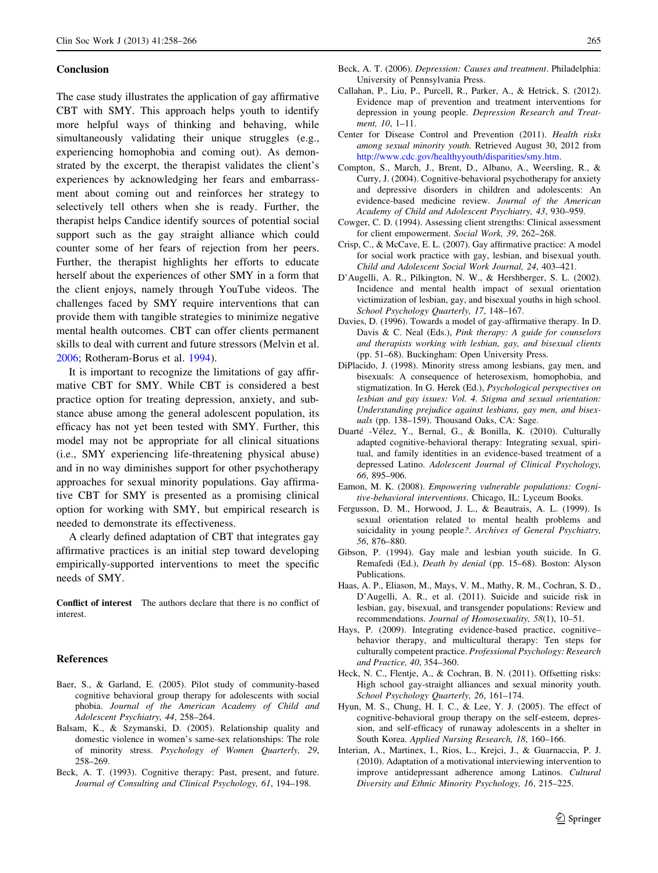### <span id="page-7-0"></span>Conclusion

The case study illustrates the application of gay affirmative CBT with SMY. This approach helps youth to identify more helpful ways of thinking and behaving, while simultaneously validating their unique struggles (e.g., experiencing homophobia and coming out). As demonstrated by the excerpt, the therapist validates the client's experiences by acknowledging her fears and embarrassment about coming out and reinforces her strategy to selectively tell others when she is ready. Further, the therapist helps Candice identify sources of potential social support such as the gay straight alliance which could counter some of her fears of rejection from her peers. Further, the therapist highlights her efforts to educate herself about the experiences of other SMY in a form that the client enjoys, namely through YouTube videos. The challenges faced by SMY require interventions that can provide them with tangible strategies to minimize negative mental health outcomes. CBT can offer clients permanent skills to deal with current and future stressors (Melvin et al. [2006;](#page-8-0) Rotheram-Borus et al. [1994\)](#page-8-0).

It is important to recognize the limitations of gay affirmative CBT for SMY. While CBT is considered a best practice option for treating depression, anxiety, and substance abuse among the general adolescent population, its efficacy has not yet been tested with SMY. Further, this model may not be appropriate for all clinical situations (i.e., SMY experiencing life-threatening physical abuse) and in no way diminishes support for other psychotherapy approaches for sexual minority populations. Gay affirmative CBT for SMY is presented as a promising clinical option for working with SMY, but empirical research is needed to demonstrate its effectiveness.

A clearly defined adaptation of CBT that integrates gay affirmative practices is an initial step toward developing empirically-supported interventions to meet the specific needs of SMY.

Conflict of interest The authors declare that there is no conflict of interest.

### References

- Baer, S., & Garland, E. (2005). Pilot study of community-based cognitive behavioral group therapy for adolescents with social phobia. Journal of the American Academy of Child and Adolescent Psychiatry, 44, 258–264.
- Balsam, K., & Szymanski, D. (2005). Relationship quality and domestic violence in women's same-sex relationships: The role of minority stress. Psychology of Women Quarterly, 29, 258–269.
- Beck, A. T. (1993). Cognitive therapy: Past, present, and future. Journal of Consulting and Clinical Psychology, 61, 194–198.
- Beck, A. T. (2006). Depression: Causes and treatment. Philadelphia: University of Pennsylvania Press.
- Callahan, P., Liu, P., Purcell, R., Parker, A., & Hetrick, S. (2012). Evidence map of prevention and treatment interventions for depression in young people. Depression Research and Treatment, 10, 1–11.
- Center for Disease Control and Prevention (2011). Health risks among sexual minority youth. Retrieved August 30, 2012 from <http://www.cdc.gov/healthyyouth/disparities/smy.htm>.
- Compton, S., March, J., Brent, D., Albano, A., Weersling, R., & Curry, J. (2004). Cognitive-behavioral psychotherapy for anxiety and depressive disorders in children and adolescents: An evidence-based medicine review. Journal of the American Academy of Child and Adolescent Psychiatry, 43, 930–959.
- Cowger, C. D. (1994). Assessing client strengths: Clinical assessment for client empowerment. Social Work, 39, 262–268.
- Crisp, C., & McCave, E. L. (2007). Gay affirmative practice: A model for social work practice with gay, lesbian, and bisexual youth. Child and Adolescent Social Work Journal, 24, 403–421.
- D'Augelli, A. R., Pilkington, N. W., & Hershberger, S. L. (2002). Incidence and mental health impact of sexual orientation victimization of lesbian, gay, and bisexual youths in high school. School Psychology Quarterly, 17, 148-167.
- Davies, D. (1996). Towards a model of gay-affirmative therapy. In D. Davis & C. Neal (Eds.), Pink therapy: A guide for counselors and therapists working with lesbian, gay, and bisexual clients (pp. 51–68). Buckingham: Open University Press.
- DiPlacido, J. (1998). Minority stress among lesbians, gay men, and bisexuals: A consequence of heterosexism, homophobia, and stigmatization. In G. Herek (Ed.), Psychological perspectives on lesbian and gay issues: Vol. 4. Stigma and sexual orientation: Understanding prejudice against lesbians, gay men, and bisexuals (pp. 138–159). Thousand Oaks, CA: Sage.
- Duarté -Vélez, Y., Bernal, G., & Bonilla, K. (2010). Culturally adapted cognitive-behavioral therapy: Integrating sexual, spiritual, and family identities in an evidence-based treatment of a depressed Latino. Adolescent Journal of Clinical Psychology, 66, 895–906.
- Eamon, M. K. (2008). Empowering vulnerable populations: Cognitive-behavioral interventions. Chicago, IL: Lyceum Books.
- Fergusson, D. M., Horwood, J. L., & Beautrais, A. L. (1999). Is sexual orientation related to mental health problems and suicidality in young people?. Archives of General Psychiatry, 56, 876–880.
- Gibson, P. (1994). Gay male and lesbian youth suicide. In G. Remafedi (Ed.), Death by denial (pp. 15–68). Boston: Alyson Publications.
- Haas, A. P., Eliason, M., Mays, V. M., Mathy, R. M., Cochran, S. D., D'Augelli, A. R., et al. (2011). Suicide and suicide risk in lesbian, gay, bisexual, and transgender populations: Review and recommendations. Journal of Homosexuality, 58(1), 10–51.
- Hays, P. (2009). Integrating evidence-based practice, cognitive– behavior therapy, and multicultural therapy: Ten steps for culturally competent practice. Professional Psychology: Research and Practice, 40, 354–360.
- Heck, N. C., Flentje, A., & Cochran, B. N. (2011). Offsetting risks: High school gay-straight alliances and sexual minority youth. School Psychology Quarterly, 26, 161–174.
- Hyun, M. S., Chung, H. I. C., & Lee, Y. J. (2005). The effect of cognitive-behavioral group therapy on the self-esteem, depression, and self-efficacy of runaway adolescents in a shelter in South Korea. Applied Nursing Research, 18, 160–166.
- Interian, A., Martinex, I., Rios, L., Krejci, J., & Guarnaccia, P. J. (2010). Adaptation of a motivational interviewing intervention to improve antidepressant adherence among Latinos. Cultural Diversity and Ethnic Minority Psychology, 16, 215–225.